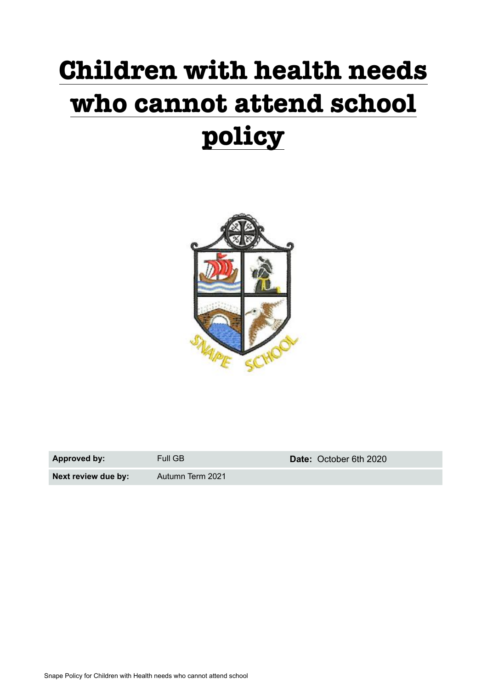# **Children with health needs who cannot attend school policy**



| Approved by:        | Full GB          | Date: October 6th 2020 |
|---------------------|------------------|------------------------|
| Next review due by: | Autumn Term 2021 |                        |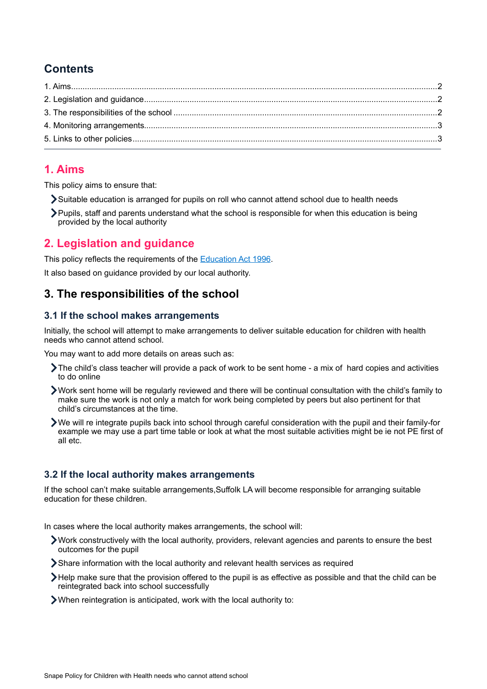## **Contents**

### <span id="page-1-0"></span>**1. Aims**

This policy aims to ensure that:

- Suitable education is arranged for pupils on roll who cannot attend school due to health needs
- Pupils, staff and parents understand what the school is responsible for when this education is being provided by the local authority

# <span id="page-1-1"></span>**2. Legislation and guidance**

This policy reflects the requirements of the [Education Act 1996.](http://www.legislation.gov.uk/ukpga/1996/56/section/19)

It also based on guidance provided by our local authority.

## <span id="page-1-2"></span>**3. The responsibilities of the school**

#### **3.1 If the school makes arrangements**

Initially, the school will attempt to make arrangements to deliver suitable education for children with health needs who cannot attend school.

You may want to add more details on areas such as:

- The child's class teacher will provide a pack of work to be sent home a mix of hard copies and activities to do online
- Work sent home will be regularly reviewed and there will be continual consultation with the child's family to make sure the work is not only a match for work being completed by peers but also pertinent for that child's circumstances at the time.
- We will re integrate pupils back into school through careful consideration with the pupil and their family-for example we may use a part time table or look at what the most suitable activities might be ie not PE first of all etc.

#### **3.2 If the local authority makes arrangements**

If the school can't make suitable arrangements,Suffolk LA will become responsible for arranging suitable education for these children.

In cases where the local authority makes arrangements, the school will:

- Work constructively with the local authority, providers, relevant agencies and parents to ensure the best outcomes for the pupil
- Share information with the local authority and relevant health services as required
- Help make sure that the provision offered to the pupil is as effective as possible and that the child can be reintegrated back into school successfully
- When reintegration is anticipated, work with the local authority to: